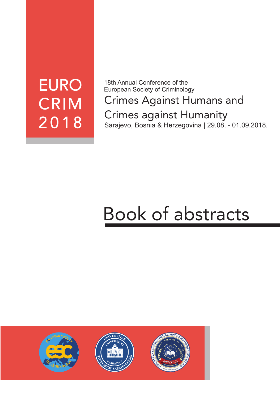# **EURO CRIM** 2018

18th Annual Conference of the European Society of Criminology

Crimes Against Humans and Crimes against Humanity Sarajevo, Bosnia & Herzegovina | 29.08. - 01.09.2018.

# Book of abstracts

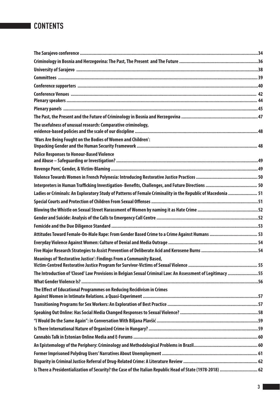| The usefulness of unusual research: Comparative criminology,                                                 |  |
|--------------------------------------------------------------------------------------------------------------|--|
| 'Wars Are Being Fought on the Bodies of Women and Children':                                                 |  |
| <b>Police Responses to Honour-Based Violence</b>                                                             |  |
|                                                                                                              |  |
|                                                                                                              |  |
|                                                                                                              |  |
| Ladies or Criminals: An Exploratory Study of Patterns of Female Criminality in the Republic of Macedonia  51 |  |
|                                                                                                              |  |
|                                                                                                              |  |
|                                                                                                              |  |
|                                                                                                              |  |
| Attitudes Toward Female-On-Male Rape: From Gender Based Crime to a Crime Against Humans  53                  |  |
|                                                                                                              |  |
|                                                                                                              |  |
| Meanings of 'Restorative Justice': Findings From a Community Based,                                          |  |
| The Introduction of 'Closed' Law Provisions in Belgian Sexual Criminal Law: An Assessment of Legitimacy 55   |  |
|                                                                                                              |  |
| The Effect of Educational Programmes on Reducing Recidivism in Crimes                                        |  |
|                                                                                                              |  |
|                                                                                                              |  |
|                                                                                                              |  |
|                                                                                                              |  |
|                                                                                                              |  |
|                                                                                                              |  |
|                                                                                                              |  |
|                                                                                                              |  |
| Is There a Presidentialization of Security? the Case of the Italian Republic Head of State (1978-2018)  62   |  |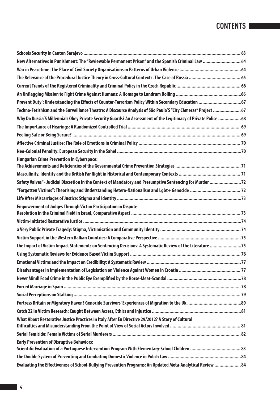| New Alternatives in Punishment: The "Reviewable Permanent Prison" and the Spanish Criminal Law  64              |  |
|-----------------------------------------------------------------------------------------------------------------|--|
|                                                                                                                 |  |
|                                                                                                                 |  |
|                                                                                                                 |  |
|                                                                                                                 |  |
| Prevent Duty': Understanding the Effects of Counter-Terrorism Policy Within Secondary Education  67             |  |
| Techno-Fetishism and the Surveillance Theatre: A Discourse Analysis of São Paulo'S "City Câmeras" Project  67   |  |
| Why Do Russia'S Millennials Obey Private Security Guards? An Assessment of the Legitimacy of Private Police  68 |  |
|                                                                                                                 |  |
|                                                                                                                 |  |
|                                                                                                                 |  |
|                                                                                                                 |  |
| <b>Hungarian Crime Prevention in Cyberspace:</b>                                                                |  |
|                                                                                                                 |  |
| Safety Valves" - Judicial Discretion in the Context of Mandatory and Presumptive Sentencing for Murder          |  |
|                                                                                                                 |  |
|                                                                                                                 |  |
| <b>Empowerment of Judges Through Victim Participation in Dispute</b>                                            |  |
|                                                                                                                 |  |
|                                                                                                                 |  |
|                                                                                                                 |  |
|                                                                                                                 |  |
| the Impact of Victim Impact Statements on Sentencing Decisions: A Systematic Review of the Literature 75        |  |
|                                                                                                                 |  |
|                                                                                                                 |  |
|                                                                                                                 |  |
|                                                                                                                 |  |
|                                                                                                                 |  |
|                                                                                                                 |  |
|                                                                                                                 |  |
|                                                                                                                 |  |
| What About Restorative Justice Practices in Italy After Eu Directive 29/2012? A Story of Cultural               |  |
|                                                                                                                 |  |
| <b>Early Prevention of Disruptive Behaviors:</b>                                                                |  |
|                                                                                                                 |  |
|                                                                                                                 |  |
| Evaluating the Effectiveness of School-Bullying Prevention Programs: An Updated Meta-Analytical Review  84      |  |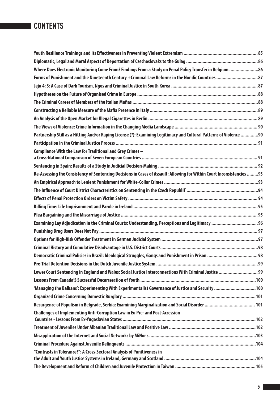| Where Does Electronic Monitoring Come From? Findings From a Study on Penal Policy Transfer in Belgium 86                       |     |
|--------------------------------------------------------------------------------------------------------------------------------|-----|
| Forms of Punishment and the Nineteenth Century +Criminal Law Reforms in the Nor dic Countries  87                              |     |
|                                                                                                                                |     |
|                                                                                                                                |     |
|                                                                                                                                |     |
|                                                                                                                                |     |
|                                                                                                                                |     |
|                                                                                                                                |     |
| Partnership Still as a Hitting And/or Raping License (?): Examining Legitimacy and Cultural Patterns of Violence 90            |     |
|                                                                                                                                |     |
| Compliance With the Law for Traditional and Grey Crimes -                                                                      |     |
|                                                                                                                                |     |
| Re-Assessing the Consistency of Sentencing Decisions in Cases of Assault: Allowing for Within Court Inconsistencies 93         |     |
|                                                                                                                                |     |
|                                                                                                                                |     |
|                                                                                                                                |     |
|                                                                                                                                |     |
|                                                                                                                                |     |
|                                                                                                                                |     |
|                                                                                                                                |     |
|                                                                                                                                |     |
|                                                                                                                                |     |
|                                                                                                                                |     |
|                                                                                                                                |     |
| Lower Court Sentencing in England and Wales: Social Justice Interconnections With Criminal Justice  99                         |     |
|                                                                                                                                |     |
| 'Managing the Balkans': Experimenting With Experimentalist Governance of Justice and Security  100                             |     |
|                                                                                                                                |     |
|                                                                                                                                |     |
| Challenges of Implementing Anti-Corruption Law in Eu Pre- and Post-Accession<br>Countries - Lessons From Ex-Yugoslavian States | 102 |
|                                                                                                                                |     |
|                                                                                                                                |     |
|                                                                                                                                |     |
| "Contrasts in Tolerance?": A Cross-Sectoral Analysis of Punitiveness in                                                        |     |
|                                                                                                                                |     |
|                                                                                                                                |     |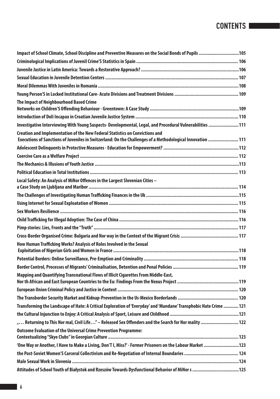| Impact of School Climate, School Discipline and Preventive Measures on the Social Bonds of Pupils 105                                                                                      |  |
|--------------------------------------------------------------------------------------------------------------------------------------------------------------------------------------------|--|
|                                                                                                                                                                                            |  |
|                                                                                                                                                                                            |  |
|                                                                                                                                                                                            |  |
|                                                                                                                                                                                            |  |
|                                                                                                                                                                                            |  |
| The Impact of Neighbourhood Based Crime                                                                                                                                                    |  |
|                                                                                                                                                                                            |  |
|                                                                                                                                                                                            |  |
| Investigative Interviewing With Young Suspects- Developmental, Legal, and Procedural Vulnerabilities  111                                                                                  |  |
| Creation and Implementation of the New Federal Statistics on Convictions and<br>Executions of Sanctions of Juveniles in Switzerland: On the Challenges of a Methodological Innovation  111 |  |
|                                                                                                                                                                                            |  |
|                                                                                                                                                                                            |  |
|                                                                                                                                                                                            |  |
|                                                                                                                                                                                            |  |
| Local Safety: An Analysis of MiNor Offences in the Largest Slovenian Cities -                                                                                                              |  |
|                                                                                                                                                                                            |  |
|                                                                                                                                                                                            |  |
|                                                                                                                                                                                            |  |
|                                                                                                                                                                                            |  |
|                                                                                                                                                                                            |  |
|                                                                                                                                                                                            |  |
| How Human Trafficking Works? Analysis of Roles Involved in the Sexual                                                                                                                      |  |
|                                                                                                                                                                                            |  |
|                                                                                                                                                                                            |  |
| Mapping and Quantifying Transnational Flows of Illicit Cigarettes From Middle-East,                                                                                                        |  |
|                                                                                                                                                                                            |  |
|                                                                                                                                                                                            |  |
|                                                                                                                                                                                            |  |
| Transforming the Landscape of Hate: A Critical Exploration of 'Everyday' and 'Mundane' Transphobic Hate Crime  121                                                                         |  |
|                                                                                                                                                                                            |  |
| " Returning to This Nor mal, Civil Life" - Released Sex Offenders and the Search for Nor mality  122                                                                                       |  |
| <b>Outcome Evaluation of the Universal Crime Prevention Programme:</b>                                                                                                                     |  |
| 'One Way or Another, I Have to Make a Living, Don'T I, Miss?' - Former Prisoners on the Labour Market  123                                                                                 |  |
|                                                                                                                                                                                            |  |
|                                                                                                                                                                                            |  |
| Attitudes of School Youth of Białystok and Rzeszów Towards Dysfunctional Behavior of MiNor s  125                                                                                          |  |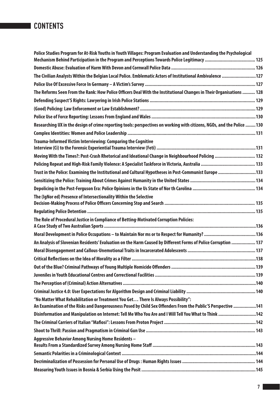| Police Studies Program for At-Risk Youths in Youth Villages: Program Evaluation and Understanding the Psychological<br>Mechanism Behind Participation in the Program and Perceptions Towards Police Legitimacy  125 |  |
|---------------------------------------------------------------------------------------------------------------------------------------------------------------------------------------------------------------------|--|
|                                                                                                                                                                                                                     |  |
| The Civilian Analysts Within the Belgian Local Police. Emblematic Actors of Institutional Ambivalence  127                                                                                                          |  |
|                                                                                                                                                                                                                     |  |
| The Reforms Seen From the Rank: How Police Officers Deal With the Institutional Changes in Their Organisations  128                                                                                                 |  |
|                                                                                                                                                                                                                     |  |
|                                                                                                                                                                                                                     |  |
|                                                                                                                                                                                                                     |  |
| Researching UX in the design of crime reporting tools: perspectives on working with citizens, NGOs, and the Police  130                                                                                             |  |
|                                                                                                                                                                                                                     |  |
| Trauma-Informed Victim Interviewing: Comparing the Cognitive                                                                                                                                                        |  |
| Moving With the Times?: Post-Crash Rhetorical and Ideational Change in Neighbourhood Policing  132                                                                                                                  |  |
|                                                                                                                                                                                                                     |  |
| Trust in the Police: Examining the Institutional and Cultural Hypotheses in Post-Communist Europe 133                                                                                                               |  |
|                                                                                                                                                                                                                     |  |
|                                                                                                                                                                                                                     |  |
| The (IgNor ed) Presence of Intersectionality Within the Selective                                                                                                                                                   |  |
|                                                                                                                                                                                                                     |  |
|                                                                                                                                                                                                                     |  |
| The Role of Procedural Justice in Compliance of Betting-Motivated Corruption Policies:                                                                                                                              |  |
|                                                                                                                                                                                                                     |  |
|                                                                                                                                                                                                                     |  |
| An Analysis of Slovenian Residents' Evaluation on the Harm Caused by Different Forms of Police Corruption  137                                                                                                      |  |
|                                                                                                                                                                                                                     |  |
|                                                                                                                                                                                                                     |  |
|                                                                                                                                                                                                                     |  |
|                                                                                                                                                                                                                     |  |
|                                                                                                                                                                                                                     |  |
| "No Matter What Rehabilitation or Treatment You Get There Is Always Possibility":                                                                                                                                   |  |
| An Examination of the Risks and Dangerousness Posed by Child Sex Offenders From the Public'S Perspective 141                                                                                                        |  |
| Disinformation and Manipulation on Internet: Tell Me Who You Are and I Will Tell You What to Think 142                                                                                                              |  |
|                                                                                                                                                                                                                     |  |
|                                                                                                                                                                                                                     |  |
| Aggressive Behavior Among Nursing Home Residents -                                                                                                                                                                  |  |
|                                                                                                                                                                                                                     |  |
|                                                                                                                                                                                                                     |  |
|                                                                                                                                                                                                                     |  |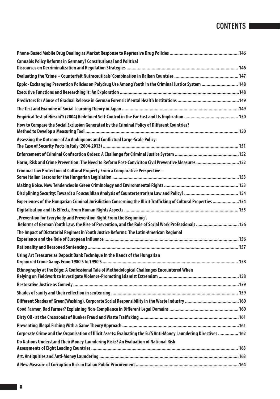| <b>Cannabis Policy Reforms in Germany? Constitutional and Political</b>                                                                                                   |  |
|---------------------------------------------------------------------------------------------------------------------------------------------------------------------------|--|
|                                                                                                                                                                           |  |
|                                                                                                                                                                           |  |
| Eppic - Exchanging Prevention Policies on Polydrug Use Among Youth in the Criminal Justice System  148                                                                    |  |
|                                                                                                                                                                           |  |
|                                                                                                                                                                           |  |
|                                                                                                                                                                           |  |
|                                                                                                                                                                           |  |
| How to Compare the Social Exclusion Generated by the Criminal Policy of Different Countries?                                                                              |  |
| Assessing the Outcome of An Ambiguous and Conflictual Large-Scale Policy:                                                                                                 |  |
|                                                                                                                                                                           |  |
| Harm, Risk and Crime Prevention: The Need to Reform Post-Conviciton Civil Preventive Measures 152                                                                         |  |
| Criminal Law Protection of Cultural Property From a Comparative Perspective -                                                                                             |  |
|                                                                                                                                                                           |  |
|                                                                                                                                                                           |  |
| Experiences of the Hungarian Criminal Jurisdiction Concerning the Illicit Trafficking of Cultural Properties 154                                                          |  |
|                                                                                                                                                                           |  |
| "Prevention for Everybody and Prevention Right From the Beginning".<br>Reforms of German Youth Law, the Rise of Prevention, and the Role of Social Work Professionals 156 |  |
| The Impact of Dictatorial Regimes in Youth Justice Reforms: The Latin-American Regional                                                                                   |  |
|                                                                                                                                                                           |  |
|                                                                                                                                                                           |  |
| Using Art Treasures as Deposit Bank Technique In the Hands of the Hungarian                                                                                               |  |
| Ethnography at the Edge: A Confessional Tale of Methodological Challenges Encountered When                                                                                |  |
|                                                                                                                                                                           |  |
|                                                                                                                                                                           |  |
|                                                                                                                                                                           |  |
|                                                                                                                                                                           |  |
|                                                                                                                                                                           |  |
|                                                                                                                                                                           |  |
|                                                                                                                                                                           |  |
| Corporate Crime and the Organisation of Illicit Assets: Evaluating the Eu'S Anti-Money Laundering Directives  162                                                         |  |
| Do Nations Understand Their Money Laundering Risks? An Evaluation of National Risk                                                                                        |  |
|                                                                                                                                                                           |  |
|                                                                                                                                                                           |  |
|                                                                                                                                                                           |  |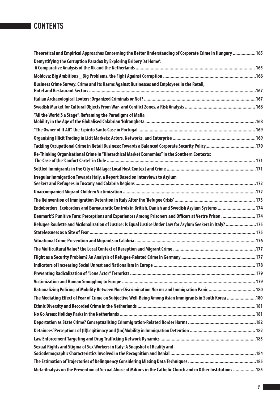| Theoretical and Empirical Approaches Concerning the Better Understanding of Corporate Crime in Hungary  165      |  |
|------------------------------------------------------------------------------------------------------------------|--|
| Demystifying the Corruption Paradox by Exploring Bribery 'at Home':                                              |  |
|                                                                                                                  |  |
|                                                                                                                  |  |
| Business Crime Survey: Crime and Its Harms Against Businesses and Employees in the Retail,                       |  |
|                                                                                                                  |  |
|                                                                                                                  |  |
| "All the World'S a Stage". Reframing the Paradigms of Mafia                                                      |  |
|                                                                                                                  |  |
|                                                                                                                  |  |
|                                                                                                                  |  |
|                                                                                                                  |  |
| Re-Thinking Organisational Crime in "Hierarchical Market Economies" in the Southern Contexts:                    |  |
|                                                                                                                  |  |
| Irregular Immigration Towards Italy. a Report Based on Interviews to Asylum                                      |  |
|                                                                                                                  |  |
|                                                                                                                  |  |
| Endoborders, Exoborders and Bureaucratic Controls in British, Danish and Swedish Asylum Systems  174             |  |
| Denmark'S Punitive Turn: Perceptions and Experiences Among Prisoners and Officers at Vestre Prison  174          |  |
| Refugee Roulette and Mcdonalization of Justice: Is Equal Justice Under Law for Asylum Seekers in Italy? 175      |  |
|                                                                                                                  |  |
|                                                                                                                  |  |
|                                                                                                                  |  |
|                                                                                                                  |  |
|                                                                                                                  |  |
|                                                                                                                  |  |
|                                                                                                                  |  |
| Rationalizing Policing of Mobility Between Non-Discrimination Nor ms and Immigration Panic  180                  |  |
| The Mediating Effect of Fear of Crime on Subjective Well-Being Among Asian Immigrants in South Korea 180         |  |
|                                                                                                                  |  |
|                                                                                                                  |  |
|                                                                                                                  |  |
|                                                                                                                  |  |
|                                                                                                                  |  |
| Sexual Rights and Stigma of Sex Workers in Italy: A Snapshot of Reality and                                      |  |
|                                                                                                                  |  |
|                                                                                                                  |  |
| Meta-Analysis on the Prevention of Sexual Abuse of MiNor s in the Catholic Church and in Other Institutions  185 |  |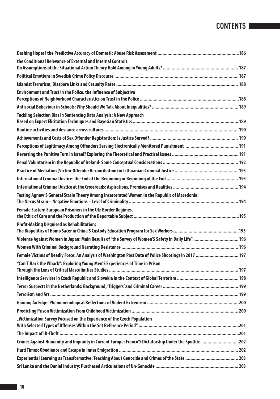| the Conditional Relevance of External and Internal Controls:                                         |  |
|------------------------------------------------------------------------------------------------------|--|
|                                                                                                      |  |
|                                                                                                      |  |
|                                                                                                      |  |
| <b>Environment and Trust in the Police. the Influence of Subjective</b>                              |  |
|                                                                                                      |  |
| Tackling Selection Bias in Sentencing Data Analysis: A New Approach                                  |  |
|                                                                                                      |  |
|                                                                                                      |  |
|                                                                                                      |  |
|                                                                                                      |  |
|                                                                                                      |  |
|                                                                                                      |  |
|                                                                                                      |  |
|                                                                                                      |  |
|                                                                                                      |  |
| Testing Agnew'S General Strain Theory Among Incarcerated Women in the Republic of Macedonia:         |  |
| Female Eastern European Prisoners in the Uk: Border Regimes,                                         |  |
| <b>Profit-Making Disguised as Rehabilitation:</b>                                                    |  |
| Violence Against Women in Japan: Main Results of "the Survey of Women'S Safety in Daily Life"  196   |  |
|                                                                                                      |  |
| Female Victims of Deadly Force: An Analysis of Washington Post Data of Police Shootings in 2017  197 |  |
| "Can'T Hack the Whack": Exploring Young Men'S Experiences of Time in Prison                          |  |
|                                                                                                      |  |
|                                                                                                      |  |
|                                                                                                      |  |
|                                                                                                      |  |
|                                                                                                      |  |
| "Victimization Survey Focused on the Experience of the Czech Population                              |  |
|                                                                                                      |  |
| Crimes Against Humanity and Impunity in Current Europe: Franco'S Dictatorship Under the Spotlite 202 |  |
|                                                                                                      |  |
|                                                                                                      |  |
|                                                                                                      |  |
|                                                                                                      |  |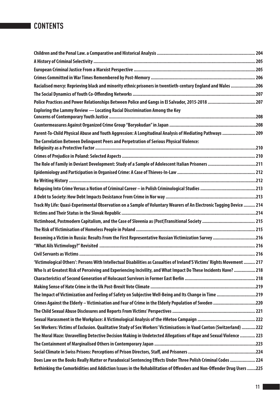| Racialised mercy: Reprieving black and minority ethnic prisoners in twentieth-century England and Wales 206              |  |
|--------------------------------------------------------------------------------------------------------------------------|--|
|                                                                                                                          |  |
| Police Practices and Power Relationships Between Police and Gangs in El Salvador, 2015-2018 207                          |  |
| Exploring the Lammy Review - Locating Racial Discrimination Among the Key                                                |  |
|                                                                                                                          |  |
| Parent-To-Child Physical Abuse and Youth Aggression: A Longitudinal Analysis of Mediating Pathways  209                  |  |
| The Correlation Between Delinguent Peers and Perpetration of Serious Physical Violence:                                  |  |
|                                                                                                                          |  |
|                                                                                                                          |  |
|                                                                                                                          |  |
|                                                                                                                          |  |
|                                                                                                                          |  |
|                                                                                                                          |  |
| Track My Life: Quasi-Experimental Observation on a Sample of Voluntary Wearers of An Electronic Tagging Device  214      |  |
|                                                                                                                          |  |
|                                                                                                                          |  |
|                                                                                                                          |  |
| Becoming a Victim in Russia: Results From the First Representative Russian Victimization Survey 216                      |  |
|                                                                                                                          |  |
|                                                                                                                          |  |
| 'Victimological Others': Persons With Intellectual Disabilities as Casualties of Ireland'S Victims' Rights Movement  217 |  |
| Who Is at Greatest Risk of Perceiving and Experiencing Incivility, and What Impact Do These Incidents Have?  218         |  |
|                                                                                                                          |  |
|                                                                                                                          |  |
| The Impact of Victimization and Feeling of Safety on Subjective Well-Being and Its Change in Time 219                    |  |
| Crimes Against the Elderly - Victimisation and Fear of Crime in the Elderly Population of Sweden 220                     |  |
|                                                                                                                          |  |
|                                                                                                                          |  |
| Sex Workers: Victims of Exclusion. Qualitative Study of Sex Workers' Victimisations in Vaud Canton (Switzerland)  222    |  |
| The Moral Maze: Unravelling Detective Decision Making in Undetected Allegations of Rape and Sexual Violence  223         |  |
|                                                                                                                          |  |
|                                                                                                                          |  |
| Does Law on the Books Really Matter or Paradoxical Sentencing Effects Under Three Polish Criminal Codes  224             |  |
| Rethinking the Comorbidities and Addiction Issues in the Rehabilitation of Offenders and Non-Offender Drug Users 225     |  |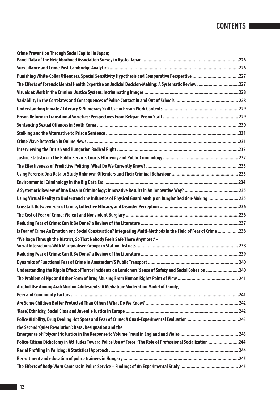| Crime Prevention Through Social Capital in Japan;                                                                 |  |
|-------------------------------------------------------------------------------------------------------------------|--|
|                                                                                                                   |  |
| Punishing White-Collar Offenders. Special Sensitivity Hypothesis and Comparative Perspective 227                  |  |
| The Effects of Forensic Mental Health Expertise on Judicial Decision-Making: A Systematic Review 227              |  |
|                                                                                                                   |  |
|                                                                                                                   |  |
|                                                                                                                   |  |
|                                                                                                                   |  |
|                                                                                                                   |  |
|                                                                                                                   |  |
|                                                                                                                   |  |
|                                                                                                                   |  |
|                                                                                                                   |  |
|                                                                                                                   |  |
|                                                                                                                   |  |
|                                                                                                                   |  |
|                                                                                                                   |  |
| Using Virtual Reality to Understand the Influence of Physical Guardianship on Burglar Decision-Making 235         |  |
|                                                                                                                   |  |
|                                                                                                                   |  |
|                                                                                                                   |  |
| Is Fear of Crime An Emotion or a Social Construction? Integrating Multi-Methods in the Field of Fear of Crime 238 |  |
| "We Rage Through the District, So That Nobody Feels Safe There Anymore." -                                        |  |
|                                                                                                                   |  |
|                                                                                                                   |  |
| Understanding the Ripple Effect of Terror Incidents on Londoners' Sense of Safety and Social Cohesion 240         |  |
|                                                                                                                   |  |
| Alcohol Use Among Arab Muslim Adolescents: A Mediation-Moderation Model of Family,                                |  |
|                                                                                                                   |  |
|                                                                                                                   |  |
|                                                                                                                   |  |
|                                                                                                                   |  |
| the Second 'Quiet Revolution': Data, Designation and the                                                          |  |
| Police-Citizen Dichotomy in Attitudes Toward Police Use of Force: The Role of Professional Socialization 244      |  |
|                                                                                                                   |  |
|                                                                                                                   |  |
|                                                                                                                   |  |
|                                                                                                                   |  |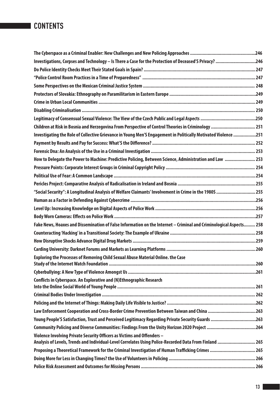| Investigations, Corpses and Technology - Is There a Case for the Protection of Deceased'S Privacy? 246             |  |
|--------------------------------------------------------------------------------------------------------------------|--|
|                                                                                                                    |  |
|                                                                                                                    |  |
|                                                                                                                    |  |
|                                                                                                                    |  |
|                                                                                                                    |  |
|                                                                                                                    |  |
|                                                                                                                    |  |
| Children at Risk in Bosnia and Herzegovina From Perspective of Control Theories in Criminology  251                |  |
| Investigating the Role of Collective Grievance in Young Men'S Engagement in Politically Motivated Violence 251     |  |
|                                                                                                                    |  |
|                                                                                                                    |  |
| How to Delegate the Power to Machine: Predictive Policing, Between Science, Administration and Law  253            |  |
|                                                                                                                    |  |
|                                                                                                                    |  |
|                                                                                                                    |  |
| "Social Security": A Longitudinal Analysis of Welfare Claimants' Involvement in Crime in the 1980S  255            |  |
|                                                                                                                    |  |
|                                                                                                                    |  |
|                                                                                                                    |  |
| Fake News, Hoaxes and Dissemination of False Information on the Internet - Criminal and Criminological Aspects 258 |  |
|                                                                                                                    |  |
|                                                                                                                    |  |
|                                                                                                                    |  |
| Exploring the Processes of Removing Child Sexual Abuse Material Online. the Case                                   |  |
|                                                                                                                    |  |
| Conflicts in Cyberspace. An Explorative and (N)Ethnographic Research                                               |  |
|                                                                                                                    |  |
|                                                                                                                    |  |
| Law Enforcement Cooperation and Cross-Border Crime Prevention Between Taiwan and China 263                         |  |
| Young People'S Satisfaction, Trust and Perceived Legitimacy Regarding Private Security Guards 263                  |  |
| Community Policing and Diverse Communities: Findings From the Unity Horizon 2020 Project 264                       |  |
| Violence Involving Private Security Officers as Victims and Offenders -                                            |  |
| Analysis of Levels, Trends and Individual-Level Correlates Using Police-Recorded Data From Finland  265            |  |
| Proposing a Theoretical Framework for the Criminal Investigation of Human Trafficking Crimes  265                  |  |
|                                                                                                                    |  |
|                                                                                                                    |  |
|                                                                                                                    |  |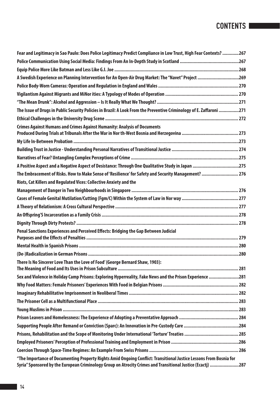| Fear and Legitimacy in Sao Paulo: Does Police Legitimacy Predict Compliance in Low Trust, High Fear Contexts? 267    |  |
|----------------------------------------------------------------------------------------------------------------------|--|
|                                                                                                                      |  |
|                                                                                                                      |  |
| A Swedish Experience on Planning Intervention for An Open-Air Drug Market: The "Navet" Project 269                   |  |
|                                                                                                                      |  |
|                                                                                                                      |  |
|                                                                                                                      |  |
| The Issue of Drugs in Public Security Policies in Brazil: A Look From the Preventive Criminology of E. Zaffaroni 271 |  |
|                                                                                                                      |  |
| Crimes Against Humans and Crimes Against Humanity: Analysis of Documents                                             |  |
|                                                                                                                      |  |
|                                                                                                                      |  |
|                                                                                                                      |  |
| A Positive Aspect and a Negative Aspect of Desistance: Through One Qualitative Study in Japan 275                    |  |
| 176 Inbracement of Risks. How to Make Sense of 'Resilience' for Safety and Security Management?  276                 |  |
| Riots, Cat Killers and Regulated Vices: Collective Anxiety and the                                                   |  |
|                                                                                                                      |  |
|                                                                                                                      |  |
|                                                                                                                      |  |
|                                                                                                                      |  |
|                                                                                                                      |  |
| Penal Sanctions Experiences and Perceived Effects: Bridging the Gap Between Judicial                                 |  |
|                                                                                                                      |  |
|                                                                                                                      |  |
| There Is No Sincerer Love Than the Love of Food' (George Bernard Shaw, 1903):                                        |  |
| Sex and Violence in Holiday Camp Prisons: Exploring Hyperreality, Fake News and the Prison Experience 281            |  |
|                                                                                                                      |  |
|                                                                                                                      |  |
|                                                                                                                      |  |
|                                                                                                                      |  |
|                                                                                                                      |  |
|                                                                                                                      |  |
|                                                                                                                      |  |
|                                                                                                                      |  |
|                                                                                                                      |  |
| "The Importance of Documenting Property Rights Amid Ongoing Conflict: Transitional Justice Lessons From Bosnia for   |  |
| Syria" Sponsored by the European Criminology Group on Atrocity Crimes and Transitional Justice (Ecactj) 287          |  |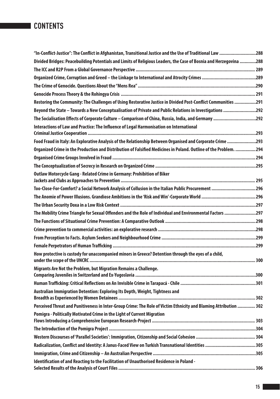| "In-Conflict-Justice": The Conflict in Afghanistan, Transitional Justice and the Use of Traditional Law 288       |  |
|-------------------------------------------------------------------------------------------------------------------|--|
| Divided Bridges: Peacebuilding Potentials and Limits of Religious Leaders, the Case of Bosnia and Herzegovina 288 |  |
|                                                                                                                   |  |
|                                                                                                                   |  |
|                                                                                                                   |  |
|                                                                                                                   |  |
| Restoring the Community: The Challenges of Using Restorative Justice in Divided Post-Conflict Communities 291     |  |
| Beyond the State - Towards a New Conceptualisation of Private and Public Relations in Investigations 292          |  |
| The Socialisation Effects of Corporate Culture - Comparison of China, Russia, India, and Germany 292              |  |
| Interactions of Law and Practice: The Influence of Legal Harmonisation on International                           |  |
|                                                                                                                   |  |
| Food Fraud in Italy: An Explorative Analysis of the Relationship Between Organised and Corporate Crime 293        |  |
| Organized Crime in the Production and Distribution of Falsified Medicines in Poland. Outline of the Problem. 294  |  |
|                                                                                                                   |  |
|                                                                                                                   |  |
| Outlaw Motorcycle Gang - Related Crime in Germany: Prohibition of Biker                                           |  |
| Too-Close-For-Comfort? a Social Network Analysis of Collusion in the Italian Public Procurement 296               |  |
|                                                                                                                   |  |
|                                                                                                                   |  |
| The Mobility Crime Triangle for Sexual Offenders and the Role of Individual and Environmental Factors 297         |  |
|                                                                                                                   |  |
|                                                                                                                   |  |
|                                                                                                                   |  |
|                                                                                                                   |  |
| How protective is custody for unaccompanied minors in Greece? Detention through the eyes of a child,              |  |
| Migrants Are Not the Problem, but Migration Remains a Challenge.                                                  |  |
|                                                                                                                   |  |
|                                                                                                                   |  |
| Australian Immigration Detention: Exploring Its Depth, Weight, Tightness and                                      |  |
| Perceived Threat and Punitiveness in Inter-Group Crime: The Role of Victim Ethnicity and Blaming Attribution  302 |  |
| Pomigra - Politically Motivated Crime in the Light of Current Migration                                           |  |
|                                                                                                                   |  |
|                                                                                                                   |  |
|                                                                                                                   |  |
|                                                                                                                   |  |
| Identification of and Reacting to the Facilitation of Unauthorised Residence in Poland -                          |  |
|                                                                                                                   |  |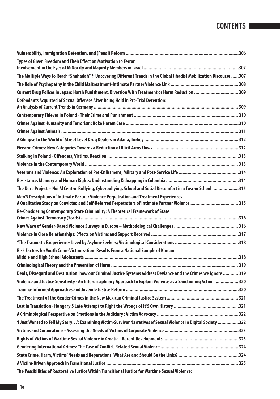| Types of Given Freedom and Their Effect on Motivation to Terror                                                                                                                              |  |
|----------------------------------------------------------------------------------------------------------------------------------------------------------------------------------------------|--|
|                                                                                                                                                                                              |  |
| The Multiple Ways to Reach "Shahadah" ?: Uncovering Different Trends in the Global Jihadist Mobilization Discourse 307                                                                       |  |
|                                                                                                                                                                                              |  |
| Current Drug Polices in Japan: Harsh Punishment, Diversion With Treatment or Harm Reduction  309                                                                                             |  |
| Defendants Acquitted of Sexual Offenses After Being Held in Pre-Trial Detention:                                                                                                             |  |
|                                                                                                                                                                                              |  |
|                                                                                                                                                                                              |  |
|                                                                                                                                                                                              |  |
|                                                                                                                                                                                              |  |
|                                                                                                                                                                                              |  |
|                                                                                                                                                                                              |  |
|                                                                                                                                                                                              |  |
|                                                                                                                                                                                              |  |
|                                                                                                                                                                                              |  |
| The Noce Project - Noi Al Centro. Bullying, Cyberbullying, School and Social Discomfort in a Tuscan School 315                                                                               |  |
| Men'S Descriptions of Intimate Partner Violence Perpetration and Treatment Experiences:<br>A Qualitative Study on Convicted and Self-Referred Perpetrators of Intimate Partner Violence  315 |  |
| Re-Considering Contemporary State Criminality: A Theoretical Framework of State                                                                                                              |  |
|                                                                                                                                                                                              |  |
|                                                                                                                                                                                              |  |
|                                                                                                                                                                                              |  |
|                                                                                                                                                                                              |  |
| Risk Factors for Youth Crime Victimization: Results From a National Sample of Korean                                                                                                         |  |
|                                                                                                                                                                                              |  |
| Deals, Disregard and Destitution: how our Criminal Justice Systems address Deviance and the Crimes we Ignore  319                                                                            |  |
| Violence and Justice Sensitivity - An Interdisciplinary Approach to Explain Violence as a Sanctioning Action  320                                                                            |  |
|                                                                                                                                                                                              |  |
|                                                                                                                                                                                              |  |
|                                                                                                                                                                                              |  |
|                                                                                                                                                                                              |  |
| 1 Just Wanted to Tell My Story': Examining Victim-Survivor Narratives of Sexual Violence in Digital Society 322                                                                              |  |
|                                                                                                                                                                                              |  |
|                                                                                                                                                                                              |  |
|                                                                                                                                                                                              |  |
|                                                                                                                                                                                              |  |
|                                                                                                                                                                                              |  |
| The Possibilities of Restorative Justice Within Transitional Justice for Wartime Sexual Violence:                                                                                            |  |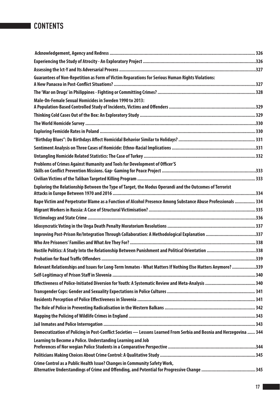| Guarantees of Non-Repetition as Form of Victim Reparations for Serious Human Rights Violations:                      |  |
|----------------------------------------------------------------------------------------------------------------------|--|
|                                                                                                                      |  |
| Male-On-Female Sexual Homicides in Sweden 1990 to 2013:                                                              |  |
|                                                                                                                      |  |
|                                                                                                                      |  |
|                                                                                                                      |  |
|                                                                                                                      |  |
|                                                                                                                      |  |
|                                                                                                                      |  |
|                                                                                                                      |  |
| Problems of Crimes Against Humanity and Tools for Development of Officer'S                                           |  |
|                                                                                                                      |  |
|                                                                                                                      |  |
| Exploring the Relationship Between the Type of Target, the Modus Operandi and the Outcomes of Terrorist              |  |
| Rape Victim and Perpetrator Blame as a Function of Alcohol Presence Among Substance Abuse Professionals  334         |  |
|                                                                                                                      |  |
|                                                                                                                      |  |
|                                                                                                                      |  |
| Improving Post-Prison Re/Integration Through Collaboration: A Methodological Explanation 337                         |  |
|                                                                                                                      |  |
| Hostile Politics: A Study Into the Relationship Between Punishment and Political Orientation 338                     |  |
|                                                                                                                      |  |
| Relevant Relationships and Issues for Long-Term Inmates - What Matters If Nothing Else Matters Anymore? 339          |  |
|                                                                                                                      |  |
|                                                                                                                      |  |
|                                                                                                                      |  |
|                                                                                                                      |  |
|                                                                                                                      |  |
|                                                                                                                      |  |
|                                                                                                                      |  |
| Democratization of Policing in Post-Conflict Societies - Lessons Learned From Serbia and Bosnia and Herzegovina  344 |  |
| Learning to Become a Police. Understanding Learning and Job                                                          |  |
|                                                                                                                      |  |
| Crime Control as a Public Health Issue? Changes in Community Safety Work,                                            |  |
|                                                                                                                      |  |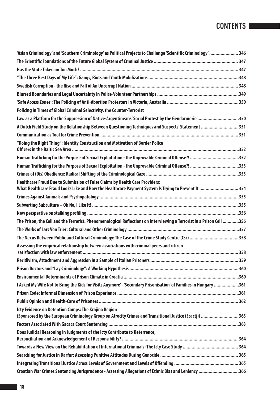| 'Asian Criminology' and 'Southern Criminology' as Political Projects to Challenge 'Scientific Criminology' …………………… 346                                                            |  |
|------------------------------------------------------------------------------------------------------------------------------------------------------------------------------------|--|
|                                                                                                                                                                                    |  |
|                                                                                                                                                                                    |  |
|                                                                                                                                                                                    |  |
|                                                                                                                                                                                    |  |
|                                                                                                                                                                                    |  |
|                                                                                                                                                                                    |  |
| Policing in Times of Global Criminal Selectivity. the Counter-Terrorist                                                                                                            |  |
| Law as a Platform for the Suppression of Native-Argentineans' Social Protest by the Gendarmerie 350                                                                                |  |
| A Dutch Field Study on the Relationship Between Questioning Techniques and Suspects' Statement 351                                                                                 |  |
|                                                                                                                                                                                    |  |
| "Doing the Right Thing": Identity Construction and Motivation of Border Police                                                                                                     |  |
|                                                                                                                                                                                    |  |
| Human Trafficking for the Purpose of Sexual Exploitation - the Unprovable Criminal Offense?! 353                                                                                   |  |
|                                                                                                                                                                                    |  |
| Healthcare Fraud Due to Submission of False Claims by Health Care Providers:<br>What Healthcare Fraud Looks Like and How the Healthcare Payment System Is Trying to Prevent It 354 |  |
|                                                                                                                                                                                    |  |
|                                                                                                                                                                                    |  |
|                                                                                                                                                                                    |  |
| The Prison, the Cell and the Terrorist. Phenomenological Reflections on Interviewing a Terrorist in a Prison Cell 356                                                              |  |
|                                                                                                                                                                                    |  |
|                                                                                                                                                                                    |  |
| Assessing the empirical relationship between associations with criminal peers and citizen                                                                                          |  |
|                                                                                                                                                                                    |  |
|                                                                                                                                                                                    |  |
|                                                                                                                                                                                    |  |
| 1 Asked My Wife Not to Bring the Kids for Visits Anymore' - 'Secondary Prisonisation' of Families in Hungary 361                                                                   |  |
|                                                                                                                                                                                    |  |
|                                                                                                                                                                                    |  |
| Icty Evidence on Detention Camps: The Krajina Region<br>(Sponsored by the European Criminology Group on Atrocity Crimes and Transitional Justice (Ecactj)) 363                     |  |
|                                                                                                                                                                                    |  |
| Does Judicial Reasoning in Judgments of the Icty Contribute to Deterrence,                                                                                                         |  |
|                                                                                                                                                                                    |  |
|                                                                                                                                                                                    |  |
|                                                                                                                                                                                    |  |
| Croatian War Crimes Sentencing Jurisprudence - Assessing Allegations of Ethnic Bias and Leniency 366                                                                               |  |
|                                                                                                                                                                                    |  |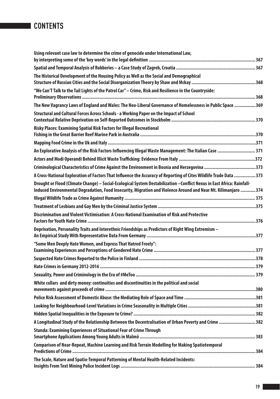| Using relevant case law to determine the crime of genocide under International Law,                                                                                                                                                        |  |
|--------------------------------------------------------------------------------------------------------------------------------------------------------------------------------------------------------------------------------------------|--|
|                                                                                                                                                                                                                                            |  |
|                                                                                                                                                                                                                                            |  |
| The Historical Development of the Housing Policy as Well as the Social and Demographical                                                                                                                                                   |  |
| "We Can'T Talk to the Tail Lights of the Patrol Car" - Crime, Risk and Resilience in the Countryside:                                                                                                                                      |  |
| The New Vagrancy Laws of England and Wales: The Neo-Liberal Governance of Homelessness in Public Space 369                                                                                                                                 |  |
| Structural and Cultural Forces Across Schools - a Working Paper on the Impact of School                                                                                                                                                    |  |
|                                                                                                                                                                                                                                            |  |
| Risky Places: Examining Spatial Risk Factors for Illegal Recreational                                                                                                                                                                      |  |
|                                                                                                                                                                                                                                            |  |
|                                                                                                                                                                                                                                            |  |
| An Explorative Analysis of the Risk Factors Influencing Illegal Waste Management: The Italian Case  371                                                                                                                                    |  |
|                                                                                                                                                                                                                                            |  |
|                                                                                                                                                                                                                                            |  |
| A Cross-National Exploration of Factors That Influence the Accuracy of Reporting of Cites Wildlife Trade Data 373                                                                                                                          |  |
| Drought or Flood (Climate Change) - Social-Ecological System Destabilization - Conflict Nexus in East Africa: Rainfall-<br>Induced Environmental Degradation, Food Insecurity, Migration and Violence Around and Near Mt. Kilimanjaro  374 |  |
|                                                                                                                                                                                                                                            |  |
|                                                                                                                                                                                                                                            |  |
| Discrimination and Violent Victimisation: A Cross-National Examination of Risk and Protective                                                                                                                                              |  |
| Deprivation, Personality Traits and Interethnic Friendships as Predictors of Right Wing Extremism -                                                                                                                                        |  |
| "Some Men Deeply Hate Women, and Express That Hatred Freely":                                                                                                                                                                              |  |
|                                                                                                                                                                                                                                            |  |
|                                                                                                                                                                                                                                            |  |
|                                                                                                                                                                                                                                            |  |
| White collars and dirty money: continuities and discontinuities in the political and social                                                                                                                                                |  |
|                                                                                                                                                                                                                                            |  |
|                                                                                                                                                                                                                                            |  |
|                                                                                                                                                                                                                                            |  |
|                                                                                                                                                                                                                                            |  |
| A Longitudinal Study of the Relationship Between the Decentralisation of Urban Poverty and Crime 382                                                                                                                                       |  |
| Stunda: Examining Experiences of Situational Fear of Crime Through                                                                                                                                                                         |  |
| Comparison of Near-Repeat, Machine Learning and Risk Terrain Modelling for Making Spatiotemporal                                                                                                                                           |  |
|                                                                                                                                                                                                                                            |  |
| The Scale, Nature and Spatio-Temporal Patterning of Mental Health-Related Incidents:                                                                                                                                                       |  |
|                                                                                                                                                                                                                                            |  |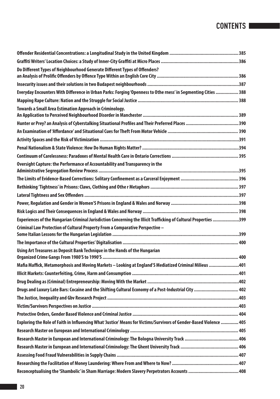| Do Different Types of Neighbourhood Generate Different Types of Offenders?                                          |  |
|---------------------------------------------------------------------------------------------------------------------|--|
|                                                                                                                     |  |
| Everyday Encounters With Difference in Urban Parks: Forging 'Openness to Othe rness' in Segmenting Cities  388      |  |
|                                                                                                                     |  |
| Towards a Small Area Estimation Approach in Criminology.                                                            |  |
|                                                                                                                     |  |
|                                                                                                                     |  |
|                                                                                                                     |  |
|                                                                                                                     |  |
|                                                                                                                     |  |
| Oversight Capture: the Performance of Accountability and Transparency in the                                        |  |
|                                                                                                                     |  |
|                                                                                                                     |  |
|                                                                                                                     |  |
|                                                                                                                     |  |
|                                                                                                                     |  |
| Experiences of the Hungarian Criminal Jurisdiction Concerning the Illicit Trafficking of Cultural Properties 399    |  |
| Criminal Law Protection of Cultural Property From a Comparative Perspective -                                       |  |
|                                                                                                                     |  |
| Using Art Treasures as Deposit Bank Technique in the Hands of the Hungarian                                         |  |
| Mafia Maffick, Metamorphosis and Moving Markets - Looking at England'S Mediatized Criminal Milieus 401              |  |
|                                                                                                                     |  |
|                                                                                                                     |  |
| Drugs and Luxury Late Bars: Cocaine and the Shifting Cultural Economy of a Post-Industrial City  402                |  |
|                                                                                                                     |  |
|                                                                                                                     |  |
|                                                                                                                     |  |
| Exploring the Role of Faith in Influencing What 'Justice' Means for Victims/Survivors of Gender-Based Violence  405 |  |
|                                                                                                                     |  |
|                                                                                                                     |  |
|                                                                                                                     |  |
|                                                                                                                     |  |
|                                                                                                                     |  |
|                                                                                                                     |  |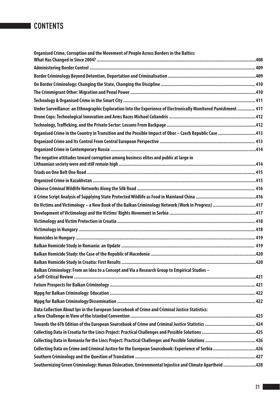| Organised Crime, Corruption and the Movement of People Across Borders in the Baltics:                           |  |
|-----------------------------------------------------------------------------------------------------------------|--|
|                                                                                                                 |  |
|                                                                                                                 |  |
|                                                                                                                 |  |
|                                                                                                                 |  |
|                                                                                                                 |  |
| Under Surveillance: an Ethnographic Exploration Into the Experience of Electronically Monitored Punishment  411 |  |
|                                                                                                                 |  |
|                                                                                                                 |  |
| Organised Crime in the Country in Transition and the Possible Impact of Obor - Czech Republic Case 413          |  |
|                                                                                                                 |  |
|                                                                                                                 |  |
| The negative attitudes toward corruption among business elites and public at large in                           |  |
|                                                                                                                 |  |
|                                                                                                                 |  |
|                                                                                                                 |  |
|                                                                                                                 |  |
| On Victims and Victimology - a New Book of the Balkan Criminology Network (Work in Progress) 417                |  |
|                                                                                                                 |  |
|                                                                                                                 |  |
|                                                                                                                 |  |
|                                                                                                                 |  |
|                                                                                                                 |  |
|                                                                                                                 |  |
|                                                                                                                 |  |
| Balkan Criminology: From an Idea to a Concept and Via a Research Group to Empirical Studies -                   |  |
|                                                                                                                 |  |
|                                                                                                                 |  |
|                                                                                                                 |  |
| Data Collection About Ipv in the European Sourcebook of Crime and Criminal Justice Statistics:                  |  |
|                                                                                                                 |  |
|                                                                                                                 |  |
|                                                                                                                 |  |
| Collecting Data on Crime and Criminal Justice for the European Sourcebook: Experience of Serbia 426             |  |
|                                                                                                                 |  |
| Southernizing Green Criminology: Human Dislocation, Environmental Injustice and Climate Apartheid 428           |  |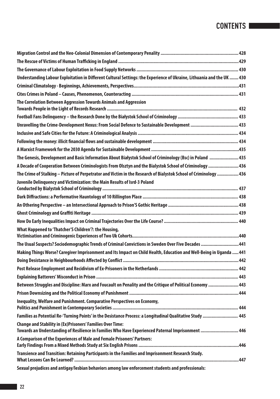| Understanding Labour Exploitation in Different Cultural Settings: the Experience of Ukraine, Lithuania and the UK  430 |  |
|------------------------------------------------------------------------------------------------------------------------|--|
|                                                                                                                        |  |
|                                                                                                                        |  |
| The Correlation Between Aggression Towards Animals and Aggression                                                      |  |
|                                                                                                                        |  |
|                                                                                                                        |  |
| Unravelling the Crime-Development Nexus: From Social Defence to Sustainable Development  433                           |  |
|                                                                                                                        |  |
|                                                                                                                        |  |
|                                                                                                                        |  |
| The Genesis, Development and Basic Information About Białystok School of Criminology (Bsc) in Poland  435              |  |
| A Decade of Cooperation Between Criminologists From Olsztyn and the Bialystok School of Criminology  436               |  |
| The Crime of Stalking - Picture of Perpetrator and Victim in the Research of Bialystok School of Criminology  436      |  |
| Juvenile Delinguency and Victimization: the Main Results of Isrd-3 Poland                                              |  |
|                                                                                                                        |  |
|                                                                                                                        |  |
|                                                                                                                        |  |
|                                                                                                                        |  |
|                                                                                                                        |  |
| What Happened to 'Thatcher'S Children'?: the Housing,                                                                  |  |
| The Usual Suspects? Sociodemographic Trends of Criminal Convictions in Sweden Over Five Decades 441                    |  |
| Making Things Worse? Caregiver Imprisonment and Its Impact on Child Health, Education and Well-Being in Uganda  441    |  |
|                                                                                                                        |  |
|                                                                                                                        |  |
|                                                                                                                        |  |
| Between Struggles and Discipline: Marx and Foucault on Penality and the Critique of Political Economy  443             |  |
|                                                                                                                        |  |
|                                                                                                                        |  |
| Inequality, Welfare and Punishment. Comparative Perspectives on Economy,                                               |  |
| Families as Potential Re-'Turning Points' in the Desistance Process: a Longitudinal Qualitative Study  445             |  |
| <b>Change and Stability in (Ex)Prisoners' Families Over Time:</b>                                                      |  |
| Towards an Understanding of Resilience in Families Who Have Experienced Paternal Imprisonment  446                     |  |
| A Comparison of the Experiences of Male and Female Prisoners' Partners:                                                |  |
|                                                                                                                        |  |
| Transience and Transition: Retaining Participants in the Families and Imprisonment Research Study.                     |  |
| Sexual prejudices and antigay/lesbian behaviors among law enforcement students and professionals:                      |  |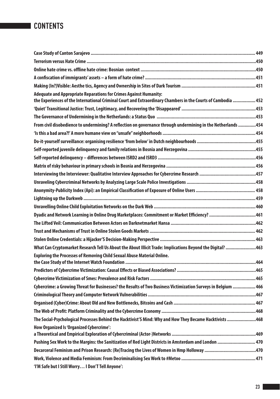| Adequate and Appropriate Reparations for Crimes Against Humanity:                                              |  |
|----------------------------------------------------------------------------------------------------------------|--|
| the Experiences of the International Criminal Court and Extraordinary Chambers in the Courts of Cambodia  452  |  |
|                                                                                                                |  |
|                                                                                                                |  |
| From civil disobedience to undermining? A reflection on governance through undermining in the Netherlands 454  |  |
|                                                                                                                |  |
|                                                                                                                |  |
|                                                                                                                |  |
|                                                                                                                |  |
|                                                                                                                |  |
|                                                                                                                |  |
|                                                                                                                |  |
|                                                                                                                |  |
|                                                                                                                |  |
|                                                                                                                |  |
| Dyadic and Network Learning in Online Drug Marketplaces: Commitment or Market Efficiency? 461                  |  |
|                                                                                                                |  |
|                                                                                                                |  |
|                                                                                                                |  |
| What Can Cryptomarket Research Tell Us About the About Illicit Trade: Implications Beyond the Digital? 463     |  |
| Exploring the Processes of Removing Child Sexual Abuse Material Online.                                        |  |
|                                                                                                                |  |
|                                                                                                                |  |
| Cybercrime: a Growing Threat for Businesses? the Results of Two Business Victimization Surveys in Belgium  466 |  |
|                                                                                                                |  |
|                                                                                                                |  |
|                                                                                                                |  |
| The Social-Psychological Processes Behind the Hacktivist'S Mind: Why and How They Became Hacktivists 468       |  |
| How Organized Is 'Organized Cybercrime':                                                                       |  |
|                                                                                                                |  |
| Pushing Sex Work to the Margins: the Sanitization of Red Light Districts in Amsterdam and London  470          |  |
|                                                                                                                |  |
|                                                                                                                |  |
| 'I'M Safe but I Still Worry I Don'T Tell Anyone':                                                              |  |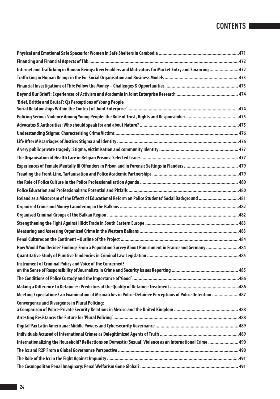| Internet and Trafficking in Human Beings: New Enablers and Motivators for Market Entry and Financing  472  |  |
|------------------------------------------------------------------------------------------------------------|--|
|                                                                                                            |  |
|                                                                                                            |  |
|                                                                                                            |  |
| 'Brief, Brittle and Brutal': Cjs Perceptions of Young People                                               |  |
|                                                                                                            |  |
|                                                                                                            |  |
|                                                                                                            |  |
|                                                                                                            |  |
|                                                                                                            |  |
|                                                                                                            |  |
|                                                                                                            |  |
|                                                                                                            |  |
|                                                                                                            |  |
|                                                                                                            |  |
|                                                                                                            |  |
| Iceland as a Microcosm of the Effects of Educational Reform on Police Students' Social Background 481      |  |
|                                                                                                            |  |
|                                                                                                            |  |
|                                                                                                            |  |
|                                                                                                            |  |
|                                                                                                            |  |
| How Would You Decide? Findings From a Population Survey About Punishment in France and Germany 484         |  |
|                                                                                                            |  |
| Instrument of Criminal Policy and Voice of the Concerned?                                                  |  |
|                                                                                                            |  |
|                                                                                                            |  |
|                                                                                                            |  |
| Meeting Expectations? an Examination of Mismatches in Police-Detainee Perceptions of Police Detention  487 |  |
| <b>Convergence and Divergence in Plural Policing:</b>                                                      |  |
|                                                                                                            |  |
|                                                                                                            |  |
|                                                                                                            |  |
| Internationalizing the Household? Reflections on Domestic (Sexual) Violence as an International Crime  490 |  |
|                                                                                                            |  |
|                                                                                                            |  |
|                                                                                                            |  |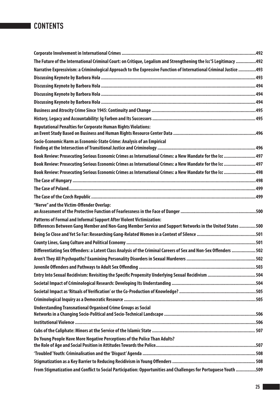| The Future of the International Criminal Court: on Critique, Legalism and Strengthening the Icc'S Legitimacy 492                                                                   |  |
|------------------------------------------------------------------------------------------------------------------------------------------------------------------------------------|--|
| Narrative Expressivism: a Criminological Approach to the Expressive Function of International Criminal Justice 493                                                                 |  |
|                                                                                                                                                                                    |  |
|                                                                                                                                                                                    |  |
|                                                                                                                                                                                    |  |
|                                                                                                                                                                                    |  |
|                                                                                                                                                                                    |  |
|                                                                                                                                                                                    |  |
| <b>Reputational Penalties for Corporate Human Rights Violations:</b>                                                                                                               |  |
| Socio-Economic Harm as Economic-State Crime: Analysis of an Empirical                                                                                                              |  |
| Book Review: Prosecuting Serious Economic Crimes as International Crimes: a New Mandate for the Icc  497                                                                           |  |
| Book Review: Prosecuting Serious Economic Crimes as International Crimes: a New Mandate for the Icc  497                                                                           |  |
| Book Review: Prosecuting Serious Economic Crimes as International Crimes: a New Mandate for the Icc  498                                                                           |  |
|                                                                                                                                                                                    |  |
|                                                                                                                                                                                    |  |
|                                                                                                                                                                                    |  |
| "Nerve" and the Victim-Offender Overlap:                                                                                                                                           |  |
| Patterns of Formal and Informal Support After Violent Victimization:<br>Differences Between Gang Member and Non-Gang Member Service and Support Networks in the United States  500 |  |
|                                                                                                                                                                                    |  |
|                                                                                                                                                                                    |  |
| Differentiating Sex Offenders: a Latent Class Analysis of the Criminal Careers of Sex and Non-Sex Offenders  502                                                                   |  |
|                                                                                                                                                                                    |  |
|                                                                                                                                                                                    |  |
| Entry Into Sexual Recidivism: Revisiting the Specific Propensity Underlying Sexual Recidivism 504                                                                                  |  |
|                                                                                                                                                                                    |  |
|                                                                                                                                                                                    |  |
|                                                                                                                                                                                    |  |
| <b>Understanding Transnational Organised Crime Groups as Social</b>                                                                                                                |  |
|                                                                                                                                                                                    |  |
|                                                                                                                                                                                    |  |
| Do Young People Have More Negative Perceptions of the Police Than Adults?                                                                                                          |  |
| Troubled' Youth: Criminalisation and the 'Disgust' Agenda …………………………………………………………………………………508                                                                                       |  |
|                                                                                                                                                                                    |  |
| From Stigmatization and Conflict to Social Participation: Opportunities and Challenges for Portuguese Youth 509                                                                    |  |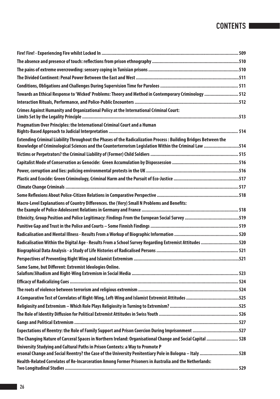| Towards an Ethical Response to 'Wicked' Problems: Theory and Method in Contemporary Criminology  512                                                                                                                    |  |
|-------------------------------------------------------------------------------------------------------------------------------------------------------------------------------------------------------------------------|--|
|                                                                                                                                                                                                                         |  |
| Crimes Against Humanity and Organizational Policy at the International Criminal Court:                                                                                                                                  |  |
| Pragmatism Over Principles: the International Criminal Court and a Human                                                                                                                                                |  |
| Extending Criminal Liability Throughout the Phases of the Radicalization Process: Building Bridges Between the<br>Knowledge of Criminological Sciences and the Counterterrorism Legislation Within the Criminal Law 514 |  |
|                                                                                                                                                                                                                         |  |
|                                                                                                                                                                                                                         |  |
|                                                                                                                                                                                                                         |  |
|                                                                                                                                                                                                                         |  |
|                                                                                                                                                                                                                         |  |
|                                                                                                                                                                                                                         |  |
| Macro-Level Explanations of Country Differences. the (Very) Small N Problems and Benefits:                                                                                                                              |  |
|                                                                                                                                                                                                                         |  |
|                                                                                                                                                                                                                         |  |
|                                                                                                                                                                                                                         |  |
| Radicalisation Within the Digital Age - Results From a School Survey Regarding Extremist Attitudes 520                                                                                                                  |  |
|                                                                                                                                                                                                                         |  |
|                                                                                                                                                                                                                         |  |
| Same Same, but Different: Extremist Ideologies Online.                                                                                                                                                                  |  |
|                                                                                                                                                                                                                         |  |
|                                                                                                                                                                                                                         |  |
|                                                                                                                                                                                                                         |  |
|                                                                                                                                                                                                                         |  |
|                                                                                                                                                                                                                         |  |
|                                                                                                                                                                                                                         |  |
| Expectations of Reentry: the Role of Family Support and Prison Coercion During Imprisonment 527                                                                                                                         |  |
| The Changing Nature of Carceral Spaces in Northern Ireland: Organisational Change and Social Capital  528                                                                                                               |  |
| University Studying and Cultural Paths in Prison Contexts: a Way to Promote P<br>ersonal Change and Social Reentry? the Case of the University Penitentiary Pole in Bologna - Italy 528                                 |  |
| Health-Related Correlates of Re-Incarceration Among Former Prisoners in Australia and the Netherlands:                                                                                                                  |  |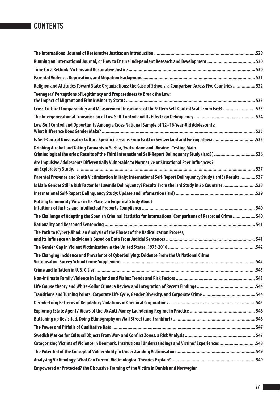| Running an International Journal, or How to Ensure Independent Research and Development  530                                                                                                      |  |
|---------------------------------------------------------------------------------------------------------------------------------------------------------------------------------------------------|--|
|                                                                                                                                                                                                   |  |
|                                                                                                                                                                                                   |  |
| Religion and Attitudes Toward State Organizations: the Case of Schools. a Comparison Across Five Countries  532                                                                                   |  |
| Teenagers' Perceptions of Legitimacy and Preparedness to Break the Law:                                                                                                                           |  |
| Cross-Cultural Comparability and Measurement Invariance of the 9-Item Self-Control Scale From Isrd3 533                                                                                           |  |
|                                                                                                                                                                                                   |  |
| Low-Self Control and Opportunity Among a Cross-National Sample of 12-16-Year-Old Adolescents:                                                                                                     |  |
| Is Self-Control Universal or Culture Specific? Lessons From Isrd3 in Switzerland and Ex-Yugoslavia 535                                                                                            |  |
| Drinking Alcohol and Taking Cannabis in Serbia, Switzerland and Ukraine - Testing Main<br>Criminological the ories: Results of the Third International Self-Report Delinquency Study (Isrd3)  536 |  |
| Are Impulsive Adolescents Differentially Vulnerable to Normative or Situational Peer Influences ?                                                                                                 |  |
| Parental Presence and Youth Victimization in Italy: International Self-Report Delinquency Study (Isrd3) Results  537                                                                              |  |
| Is Male Gender Still a Risk Factor for Juvenile Delinquency? Results From the Isrd Study in 26 Countries 538                                                                                      |  |
|                                                                                                                                                                                                   |  |
| <b>Putting Community Views in Its Place: an Empirical Study About</b>                                                                                                                             |  |
| The Challenge of Adapting the Spanish Criminal Statistics for International Comparisons of Recorded Crime  540                                                                                    |  |
|                                                                                                                                                                                                   |  |
| The Path to (Cyber)-Jihad: an Analysis of the Phases of the Radicalization Process,                                                                                                               |  |
|                                                                                                                                                                                                   |  |
| The Changing Incidence and Prevalence of Cyberbullying: Evidence From the Us National Crime                                                                                                       |  |
|                                                                                                                                                                                                   |  |
|                                                                                                                                                                                                   |  |
|                                                                                                                                                                                                   |  |
|                                                                                                                                                                                                   |  |
|                                                                                                                                                                                                   |  |
|                                                                                                                                                                                                   |  |
|                                                                                                                                                                                                   |  |
|                                                                                                                                                                                                   |  |
|                                                                                                                                                                                                   |  |
| Categorizing Victims of Violence in Denmark. Institutional Understandings and Victims' Experiences 548                                                                                            |  |
|                                                                                                                                                                                                   |  |
|                                                                                                                                                                                                   |  |
| Empowered or Protected? the Discursive Framing of the Victim in Danish and Norwegian                                                                                                              |  |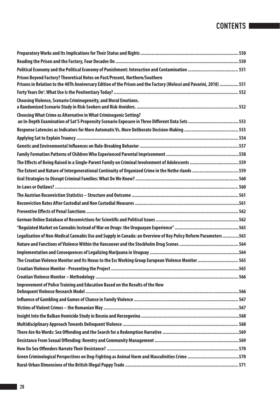| Prison Beyond Factory? Theoretical Notes on Past/Present, Northern/Southern<br>Prisons in Relation to the 40Th Anniversary Edition of the Prison and the Factory (Melossi and Pavarini, 2018)  551 |  |
|----------------------------------------------------------------------------------------------------------------------------------------------------------------------------------------------------|--|
|                                                                                                                                                                                                    |  |
| Choosing Violence, Scenario Criminogeneity, and Moral Emotions.                                                                                                                                    |  |
| Choosing What Crime as Alternative in What Criminogenic Setting?                                                                                                                                   |  |
|                                                                                                                                                                                                    |  |
|                                                                                                                                                                                                    |  |
|                                                                                                                                                                                                    |  |
|                                                                                                                                                                                                    |  |
| The Effects of Being Raised in a Single-Parent Family on Criminal Involvement of Adolescents 559                                                                                                   |  |
| The Extent and Nature of Intergenerational Continuity of Organized Crime in the Nethe rlands 559                                                                                                   |  |
|                                                                                                                                                                                                    |  |
|                                                                                                                                                                                                    |  |
|                                                                                                                                                                                                    |  |
|                                                                                                                                                                                                    |  |
|                                                                                                                                                                                                    |  |
|                                                                                                                                                                                                    |  |
|                                                                                                                                                                                                    |  |
| Legalization of Non-Medical Cannabis Use and Supply in Canada: an Overview of Key Policy Reform Parameters 563                                                                                     |  |
|                                                                                                                                                                                                    |  |
|                                                                                                                                                                                                    |  |
| The Croatian Violence Monitor and Its Nexus to the Esc Working Group European Violence Monitor  565                                                                                                |  |
|                                                                                                                                                                                                    |  |
|                                                                                                                                                                                                    |  |
| Improvement of Police Training and Education Based on the Results of the New                                                                                                                       |  |
|                                                                                                                                                                                                    |  |
|                                                                                                                                                                                                    |  |
|                                                                                                                                                                                                    |  |
|                                                                                                                                                                                                    |  |
|                                                                                                                                                                                                    |  |
|                                                                                                                                                                                                    |  |
|                                                                                                                                                                                                    |  |
|                                                                                                                                                                                                    |  |
|                                                                                                                                                                                                    |  |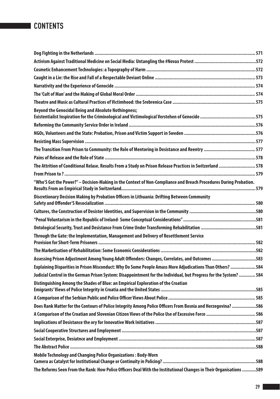| <b>Beyond the Genocidal Being and Absolute Nothingness;</b>                                                        |  |
|--------------------------------------------------------------------------------------------------------------------|--|
|                                                                                                                    |  |
|                                                                                                                    |  |
|                                                                                                                    |  |
|                                                                                                                    |  |
|                                                                                                                    |  |
| 178 The Attrition of Conditional Relase. Results From a Study on Prison Release Practices in Switzerland  578      |  |
|                                                                                                                    |  |
| "Who'S Got the Power?" - Decision-Making in the Context of Non-Compliance and Breach Procedures During Probation.  |  |
| Discretionary Decision Making by Probation Officers in Lithuania: Drifting Between Community                       |  |
|                                                                                                                    |  |
|                                                                                                                    |  |
|                                                                                                                    |  |
| Through the Gate: the Implementation, Management and Delivery of Resettlement Service                              |  |
|                                                                                                                    |  |
| Assessing Prison Adjustment Among Young Adult Offenders: Changes, Correlates, and Outcomes 583                     |  |
| Explaining Disparities in Prison Misconduct: Why Do Some People Amass More Adjudications Than Others?  584         |  |
| Judicial Control in the German Prison System: Disappointment for the Individual, but Progress for the System?  584 |  |
| Distinguishing Among the Shades of Blue: an Empirical Exploration of the Croatian                                  |  |
|                                                                                                                    |  |
| Does Rank Matter for the Contours of Police Integrity Among Police Officers From Bosnia and Herzegovina? 586       |  |
|                                                                                                                    |  |
|                                                                                                                    |  |
|                                                                                                                    |  |
|                                                                                                                    |  |
|                                                                                                                    |  |
| Mobile Technology and Changing Police Organizations: Body-Worn                                                     |  |
| The Reforms Seen From the Rank: How Police Officers Deal With the Institutional Changes in Their Organisations 589 |  |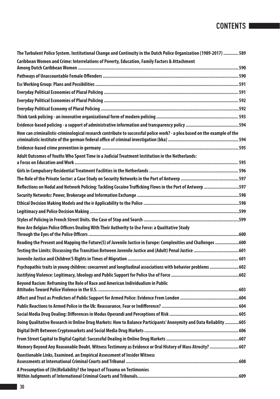| The Turbulent Police System. Institutional Change and Continuity in the Dutch Police Organization (1989-2017)  589       |  |
|--------------------------------------------------------------------------------------------------------------------------|--|
| Caribbean Women and Crime: Interrelations of Poverty, Education, Family Factors & Attachment                             |  |
|                                                                                                                          |  |
|                                                                                                                          |  |
|                                                                                                                          |  |
|                                                                                                                          |  |
|                                                                                                                          |  |
|                                                                                                                          |  |
|                                                                                                                          |  |
| How can criminalistic-criminological research contribute to successful police work? - a plea based on the example of the |  |
|                                                                                                                          |  |
| Adult Outcomes of Youths Who Spent Time in a Judicial Treatment Institution in the Netherlands:                          |  |
|                                                                                                                          |  |
|                                                                                                                          |  |
| Reflections on Nodal and Network Policing: Tackling Cocaine Trafficking Flows in the Port of Antwerp 597                 |  |
|                                                                                                                          |  |
|                                                                                                                          |  |
|                                                                                                                          |  |
|                                                                                                                          |  |
| How Are Belgian Police Officers Dealing With Their Authority to Use Force: a Qualitative Study                           |  |
| Reading the Present and Mapping the Future(S) of Juvenile Justice in Europe: Complexities and Challenges 600             |  |
|                                                                                                                          |  |
|                                                                                                                          |  |
| Psychopathic traits in young children: concurrent and longitudinal associations with behavior problems 602               |  |
|                                                                                                                          |  |
| Beyond Racism: Reframing the Role of Race and American Individualism in Public                                           |  |
|                                                                                                                          |  |
|                                                                                                                          |  |
|                                                                                                                          |  |
| Doing Qualitative Research in Online Drug Markets: How to Balance Participants' Anonymity and Data Reliablity 605        |  |
|                                                                                                                          |  |
|                                                                                                                          |  |
| Memory Beyond Any Reasonable Doubt. Witness Testimony as Evidence or Oral History of Mass Atrocity? 607                  |  |
| Questionable Links, Examined. an Empirical Assessment of Insider Witness                                                 |  |
| A Presumption of (Un)Reliability? the Impact of Trauma on Testimonies                                                    |  |
|                                                                                                                          |  |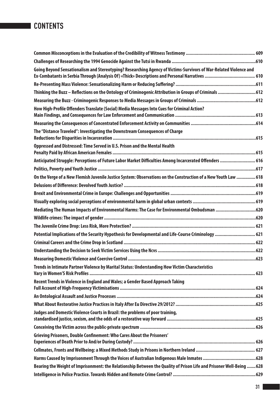| Going Beyond Sensationalism and Stereotyping? Researching Agency of Victims-Survivors of War-Related Violence and    |      |
|----------------------------------------------------------------------------------------------------------------------|------|
|                                                                                                                      |      |
| Thinking the Buzz - Reflections on the Ontology of Criminogenic Attribution in Groups of Criminals  612              |      |
|                                                                                                                      |      |
| How High-Profile Offenders Translate (Social) Media Messages Into Cues for Criminal Action?                          |      |
|                                                                                                                      |      |
| The "Distance Traveled": Investigating the Downstream Consequences of Charge                                         |      |
| Oppressed and Distressed: Time Served in U.S. Prison and the Mental Health                                           |      |
| Anticipated Struggle: Perceptions of Future Labor Market Difficulties Among Incarcerated Offenders  616              |      |
|                                                                                                                      |      |
| On the Verge of a New Flemish Juvenile Justice System: Observations on the Construction of a New Youth Law  618      |      |
|                                                                                                                      |      |
|                                                                                                                      |      |
|                                                                                                                      |      |
| Mediating The Human Impacts of Environmental Harms: The Case for Environmental Ombudsman 620                         |      |
|                                                                                                                      |      |
|                                                                                                                      |      |
| Potential Implications of the Security Hypothesis for Developmental and Life-Course Criminology  621                 |      |
|                                                                                                                      |      |
|                                                                                                                      |      |
|                                                                                                                      |      |
| Trends in Intimate Partner Violence by Marital Status: Understanding How Victim Characteristics                      |      |
| Recent Trends in Violence in England and Wales; a Gender Based Approach Taking                                       |      |
|                                                                                                                      |      |
|                                                                                                                      |      |
| Judges and Domestic Violence Courts in Brazil: the problems of poor training,                                        | .625 |
|                                                                                                                      |      |
| Grieving Prisoners, Double Confinement: Who Cares About the Prisoners'                                               |      |
|                                                                                                                      |      |
|                                                                                                                      |      |
| Bearing the Weight of Imprisonment: the Relationship Between the Quality of Prison Life and Prisoner Well-Being  628 |      |
|                                                                                                                      |      |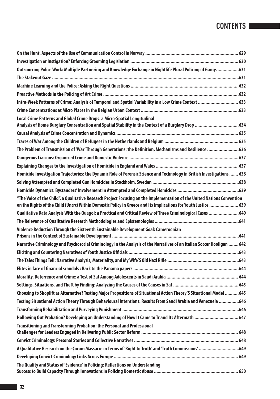| Local Crime Patterns and Global Crime Drops: a Micro-Spatial Longitudinal<br>Analysis of Home Burglary Concentration and Spatial Stability in the Context of a Burglary Drop 634 |  |
|----------------------------------------------------------------------------------------------------------------------------------------------------------------------------------|--|
|                                                                                                                                                                                  |  |
|                                                                                                                                                                                  |  |
|                                                                                                                                                                                  |  |
|                                                                                                                                                                                  |  |
|                                                                                                                                                                                  |  |
| Homicide Investigation Trajectories: the Dynamic Role of Forensic Science and Technology in British Investigations  638                                                          |  |
|                                                                                                                                                                                  |  |
|                                                                                                                                                                                  |  |
| "The Voice of the Child". a Qualitative Research Project Focusing on the Implementation of the United Nations Convention                                                         |  |
|                                                                                                                                                                                  |  |
| Qualitative Data Analysis With the Quagol: a Practical and Critical Review of Three Criminological Cases 640                                                                     |  |
|                                                                                                                                                                                  |  |
| Violence Reduction Through the Sixteenth Sustainable Development Goal: Cameroonian                                                                                               |  |
|                                                                                                                                                                                  |  |
| Narrative Criminology and Psychosocial Criminology in the Analysis of the Narratives of an Italian Soccer Hooligan  642                                                          |  |
|                                                                                                                                                                                  |  |
|                                                                                                                                                                                  |  |
|                                                                                                                                                                                  |  |
|                                                                                                                                                                                  |  |
|                                                                                                                                                                                  |  |
| Choosing to Shoplift as Alternative? Testing Major Propositions of Situational Action Theory'S Situational Model 645                                                             |  |
| Testing Situational Action Theory Through Behavioural Intentions: Results From Saudi Arabia and Venezuela 646                                                                    |  |
|                                                                                                                                                                                  |  |
| 647. Hollowing Out Probation? Developing an Understanding of How It Came to Tr and Its Aftermath  647                                                                            |  |
| <b>Transitioning and Transforming Probation: the Personal and Professional</b>                                                                                                   |  |
|                                                                                                                                                                                  |  |
| A Qualitative Research on the Corum Massacre in Terms of 'Right to Truth' and 'Truth Commissions' 649                                                                            |  |
|                                                                                                                                                                                  |  |
| The Quality and Status of 'Evidence' in Policing: Reflections on Understanding                                                                                                   |  |
|                                                                                                                                                                                  |  |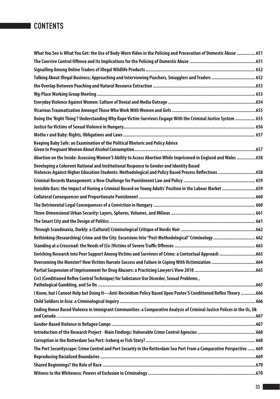| What You See Is What You Get: the Use of Body-Worn Video in the Policing and Prosecution of Domestic Abuse ……………651                                                                            |  |
|------------------------------------------------------------------------------------------------------------------------------------------------------------------------------------------------|--|
|                                                                                                                                                                                                |  |
|                                                                                                                                                                                                |  |
| Talking About Illegal Business; Approaching and Interviewing Poachers, Smugglers and Traders  652                                                                                              |  |
|                                                                                                                                                                                                |  |
|                                                                                                                                                                                                |  |
|                                                                                                                                                                                                |  |
|                                                                                                                                                                                                |  |
| Doing the 'Right Thing'? Understanding Why Rape Victim-Survivors Engage With the Criminal Justice System  655                                                                                  |  |
|                                                                                                                                                                                                |  |
|                                                                                                                                                                                                |  |
| Keeping Baby Safe: an Examination of the Political Rhetoric and Policy Advice                                                                                                                  |  |
| Abortion on the Inside: Assessing Women'S Ability to Access Abortion While Imprisoned in England and Wales 658                                                                                 |  |
| Developing a Coherent National and Institutional Response to Gender and Identity Based<br>Violences Against Higher Education Students: Methodological and Policy Based Process Reflections 658 |  |
|                                                                                                                                                                                                |  |
| Invisible Bars: the Impact of Having a Criminal Record on Young Adults' Position in the Labour Market 659                                                                                      |  |
|                                                                                                                                                                                                |  |
|                                                                                                                                                                                                |  |
|                                                                                                                                                                                                |  |
|                                                                                                                                                                                                |  |
|                                                                                                                                                                                                |  |
| Rethinking (Researching) Crime and the City: Excursions Into "Post-Methodological" Criminology  662                                                                                            |  |
|                                                                                                                                                                                                |  |
| Enriching Research Into Peer Support Among Victims and Survivors of Crime: a Contextual Approach 663                                                                                           |  |
| 0vercoming the Monster? How Victims Narrate Success and Failure in Coping With Victimization  664                                                                                              |  |
|                                                                                                                                                                                                |  |
| Crct (Conditioned Reflex Control Technique) for Substance Use Disorder, Sexual Problems,                                                                                                       |  |
| 1 Know, but I Cannot Help but Doing It-Anti-Recividism Policy Based Upon Pavlov'S Conditioned Reflex Theory 666                                                                                |  |
|                                                                                                                                                                                                |  |
| Ending Honor Based Violence in Immigrant Communities: a Comparative Analysis of Criminal Justice Polices in the Us, Uk                                                                         |  |
|                                                                                                                                                                                                |  |
|                                                                                                                                                                                                |  |
|                                                                                                                                                                                                |  |
|                                                                                                                                                                                                |  |
| The Port Securityscape: Crime Control and Port Security in the Rotterdam Sea Port From a Comparative Perspective  669                                                                          |  |
|                                                                                                                                                                                                |  |
|                                                                                                                                                                                                |  |
|                                                                                                                                                                                                |  |